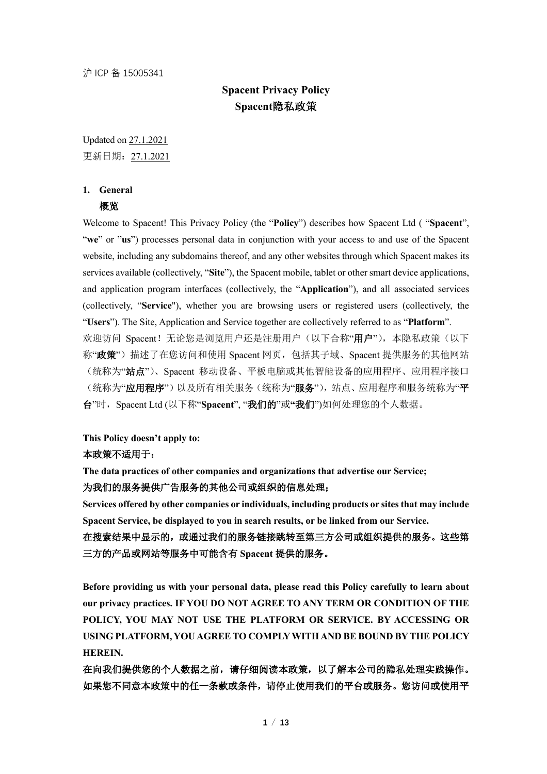# **Spacent Privacy Policy Spacent**隐私政策

Updated on 27.1.2021 更新日期:27.1.2021

# **1. General**

## 概览

Welcome to Spacent! This Privacy Policy (the "**Policy**") describes how Spacent Ltd ( "**Spacent**", "**we**" or "**us**") processes personal data in conjunction with your access to and use of the Spacent website, including any subdomains thereof, and any other websites through which Spacent makes its services available (collectively, "**Site**"), the Spacent mobile, tablet or other smart device applications, and application program interfaces (collectively, the "**Application**"), and all associated services (collectively, "**Service**"), whether you are browsing users or registered users (collectively, the "**Users**"). The Site, Application and Service together are collectively referred to as "**Platform**". 欢迎访问 Spacent! 无论您是浏览用户还是注册用户(以下合称"用户"), 本隐私政策(以下 称"政策")描述了在您访问和使用 Spacent 网页,包括其子域、Spacent 提供服务的其他网站 (统称为"站点")、Spacent 移动设备、平板电脑或其他智能设备的应用程序、应用程序接口 (统称为"应用程序")以及所有相关服务(统称为"服务"),站点、应用程序和服务统称为"平 台"时,Spacent Ltd (以下称"**Spacent**", "我们的"或**"**我们")如何处理您的个人数据。

# **This Policy doesn't apply to:**

#### 本政策不适用于:

**The data practices of other companies and organizations that advertise our Service;** 为我们的服务提供广告服务的其他公司或组织的信息处理;

**Services offered by other companies or individuals, including products or sites that may include Spacent Service, be displayed to you in search results, or be linked from our Service.**

在搜索结果中显示的,或通过我们的服务链接跳转至第三方公司或组织提供的服务。这些第 三方的产品或网站等服务中可能含有 **Spacent** 提供的服务。

**Before providing us with your personal data, please read this Policy carefully to learn about our privacy practices. IF YOU DO NOT AGREE TO ANY TERM OR CONDITION OF THE POLICY, YOU MAY NOT USE THE PLATFORM OR SERVICE. BY ACCESSING OR USING PLATFORM, YOU AGREE TO COMPLY WITH AND BE BOUND BY THE POLICY HEREIN.**

在向我们提供您的个人数据之前,请仔细阅读本政策,以了解本公司的隐私处理实践操作。 如果您不同意本政策中的任一条款或条件,请停止使用我们的平台或服务。您访问或使用平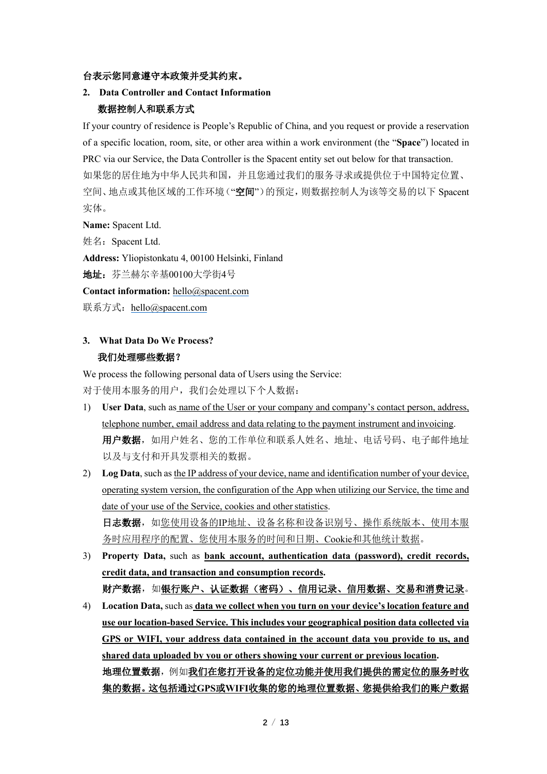## 台表示您同意遵守本政策并受其约束。

# **2. Data Controller and Contact Information** 数据控制人和联系方式

If your country of residence is People's Republic of China, and you request or provide a reservation of a specific location, room, site, or other area within a work environment (the "**Space**") located in PRC via our Service, the Data Controller is the Spacent entity set out below for that transaction. 如果您的居住地为中华人民共和国,并且您通过我们的服务寻求或提供位于中国特定位置、 空间、地点或其他区域的工作环境("空间")的预定,则数据控制人为该等交易的以下 Spacent 实体。

**Name:** Spacent Ltd.

姓名: Spacent Ltd.

**Address:** Yliopistonkatu 4, 00100 Helsinki, Finland

地址:芬兰赫尔辛基00100大学街4号

**Contact information:** hello@spacent.com

联系方式: hello@spacent.com

# **3. What Data Do We Process?** 我们处理哪些数据?

We process the following personal data of Users using the Service: 对于使用本服务的用户,我们会处理以下个人数据:

- 1) **User Data**, such as name of the User or your company and company's contact person, address, telephone number, email address and data relating to the payment instrument and invoicing. 用户数据,如用户姓名、您的工作单位和联系人姓名、地址、电话号码、电子邮件地址 以及与支付和开具发票相关的数据。
- 2) **Log Data**, such as the IP address of your device, name and identification number of your device, operating system version, the configuration of the App when utilizing our Service, the time and date of your use of the Service, cookies and other statistics. 日志数据,如您使用设备的IP地址、设备名称和设备识别号、操作系统版本、使用本服

务时应用程序的配置、您使用本服务的时间和日期、Cookie和其他统计数据。

- 3) **Property Data,** such as **bank account, authentication data (password), credit records, credit data, and transaction and consumption records.** 财产数据,如银行账户、认证数据(密码)、信用记录、信用数据、交易和消费记录。
- 4) **Location Data,** such as **data we collect when you turn on your device's location feature and use our location-based Service. This includes your geographical position data collected via GPS or WIFI, your address data contained in the account data you provide to us, and shared data uploaded by you or others showing your current or previous location.** 地理位置数据,例如我们在您打开设备的定位功能并使用我们提供的需定位的服务时收 集的数据。这包括通过**GPS**或**WIFI**收集的您的地理位置数据、您提供给我们的账户数据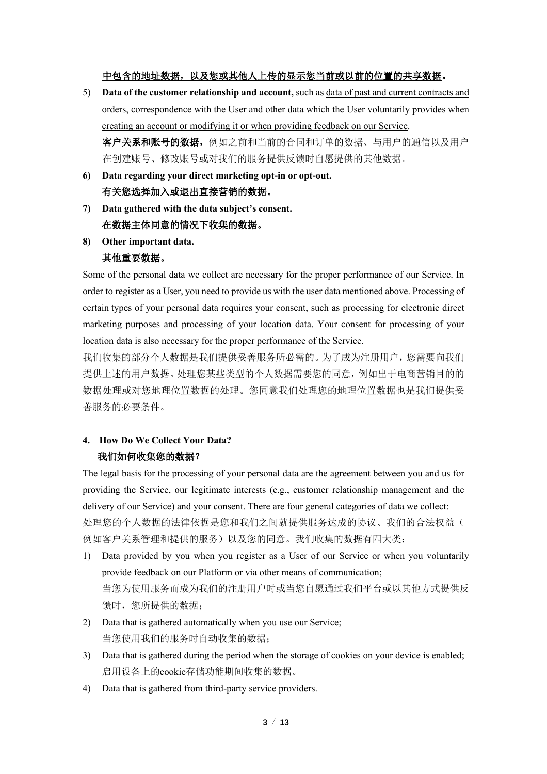## 中包含的地址数据,以及您或其他人上传的显示您当前或以前的位置的共享数据。

- 5) **Data of the customer relationship and account,** such as data of past and current contracts and orders, correspondence with the User and other data which the User voluntarily provides when creating an account or modifying it or when providing feedback on our Service. 客户关系和账号的数据,例如之前和当前的合同和订单的数据、与用户的通信以及用户 在创建账号、修改账号或对我们的服务提供反馈时自愿提供的其他数据。
- **6) Data regarding your direct marketing opt-in or opt-out.** 有关您选择加入或退出直接营销的数据。
- **7) Data gathered with the data subject's consent.** 在数据主体同意的情况下收集的数据。
- **8) Other important data.**

## 其他重要数据。

Some of the personal data we collect are necessary for the proper performance of our Service. In order to register as a User, you need to provide us with the user data mentioned above. Processing of certain types of your personal data requires your consent, such as processing for electronic direct marketing purposes and processing of your location data. Your consent for processing of your location data is also necessary for the proper performance of the Service.

我们收集的部分个人数据是我们提供妥善服务所必需的。为了成为注册用户,您需要向我们 提供上述的用户数据。处理您某些类型的个人数据需要您的同意,例如出于电商营销目的的 数据处理或对您地理位置数据的处理。您同意我们处理您的地理位置数据也是我们提供妥 善服务的必要条件。

# **4. How Do We Collect Your Data?** 我们如何收集您的数据?

The legal basis for the processing of your personal data are the agreement between you and us for providing the Service, our legitimate interests (e.g., customer relationship management and the delivery of our Service) and your consent. There are four general categories of data we collect: 处理您的个人数据的法律依据是您和我们之间就提供服务达成的协议、我们的合法权益( 例如客户关系管理和提供的服务)以及您的同意。我们收集的数据有四大类:

- 1) Data provided by you when you register as a User of our Service or when you voluntarily provide feedback on our Platform or via other means of communication; 当您为使用服务而成为我们的注册用户时或当您自愿通过我们平台或以其他方式提供反 馈时,您所提供的数据;
- 2) Data that is gathered automatically when you use our Service; 当您使用我们的服务时自动收集的数据;
- 3) Data that is gathered during the period when the storage of cookies on your device is enabled; 启用设备上的cookie存储功能期间收集的数据。
- 4) Data that is gathered from third-party service providers.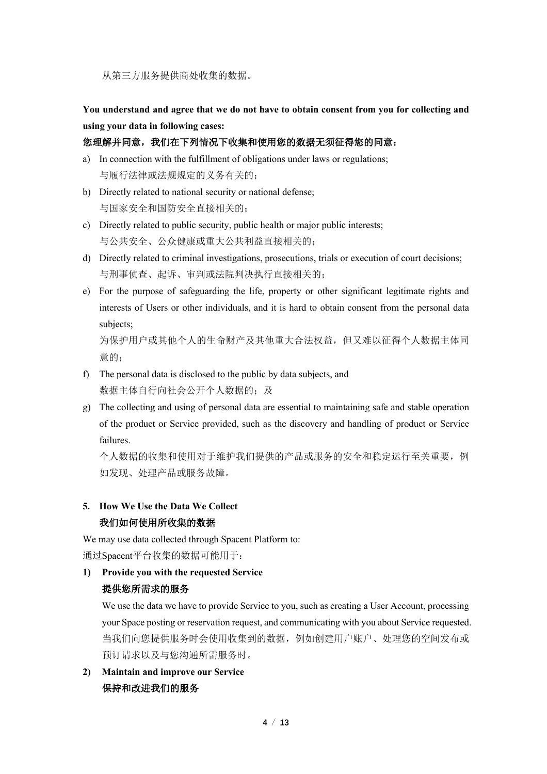从第三方服务提供商处收集的数据。

**You understand and agree that we do not have to obtain consent from you for collecting and using your data in following cases:** 

# 您理解并同意,我们在下列情况下收集和使用您的数据无须征得您的同意:

- a) In connection with the fulfillment of obligations under laws or regulations; 与履行法律或法规规定的义务有关的;
- b) Directly related to national security or national defense; 与国家安全和国防安全直接相关的;
- c) Directly related to public security, public health or major public interests; 与公共安全、公众健康或重大公共利益直接相关的;
- d) Directly related to criminal investigations, prosecutions, trials or execution of court decisions; 与刑事侦查、起诉、审判或法院判决执行直接相关的;
- e) For the purpose of safeguarding the life, property or other significant legitimate rights and interests of Users or other individuals, and it is hard to obtain consent from the personal data subjects;

为保护用户或其他个人的生命财产及其他重大合法权益,但又难以征得个人数据主体同 意的;

- f) The personal data is disclosed to the public by data subjects, and 数据主体自行向社会公开个人数据的;及
- g) The collecting and using of personal data are essential to maintaining safe and stable operation of the product or Service provided, such as the discovery and handling of product or Service failures.

个人数据的收集和使用对于维护我们提供的产品或服务的安全和稳定运行至关重要,例 如发现、处理产品或服务故障。

# **5. How We Use the Data We Collect** 我们如何使用所收集的数据

We may use data collected through Spacent Platform to: 通过Spacent平台收集的数据可能用于:

# **1) Provide you with the requested Service**

# 提供您所需求的服务

We use the data we have to provide Service to you, such as creating a User Account, processing your Space posting or reservation request, and communicating with you about Service requested. 当我们向您提供服务时会使用收集到的数据,例如创建用户账户、处理您的空间发布或 预订请求以及与您沟通所需服务时。

**2) Maintain and improve our Service**  保持和改进我们的服务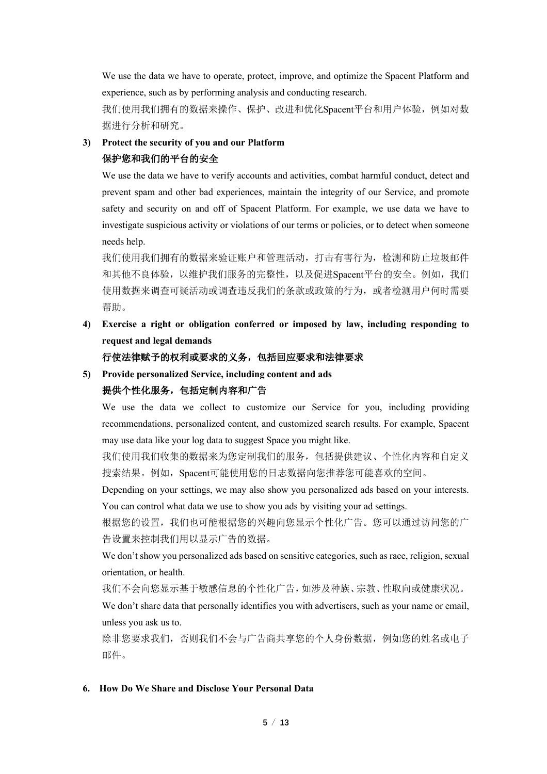We use the data we have to operate, protect, improve, and optimize the Spacent Platform and experience, such as by performing analysis and conducting research.

我们使用我们拥有的数据来操作、保护、改进和优化Spacent平台和用户体验,例如对数 据进行分析和研究。

## **3) Protect the security of you and our Platform**

## 保护您和我们的平台的安全

We use the data we have to verify accounts and activities, combat harmful conduct, detect and prevent spam and other bad experiences, maintain the integrity of our Service, and promote safety and security on and off of Spacent Platform. For example, we use data we have to investigate suspicious activity or violations of our terms or policies, or to detect when someone needs help.

我们使用我们拥有的数据来验证账户和管理活动,打击有害行为,检测和防止垃圾邮件 和其他不良体验,以维护我们服务的完整性,以及促进Spacent平台的安全。例如,我们 使用数据来调查可疑活动或调查违反我们的条款或政策的行为,或者检测用户何时需要 帮助。

**4) Exercise a right or obligation conferred or imposed by law, including responding to request and legal demands**

## 行使法律赋予的权利或要求的义务,包括回应要求和法律要求

**5) Provide personalized Service, including content and ads**

# 提供个性化服务,包括定制内容和广告

We use the data we collect to customize our Service for you, including providing recommendations, personalized content, and customized search results. For example, Spacent may use data like your log data to suggest Space you might like.

我们使用我们收集的数据来为您定制我们的服务,包括提供建议、个性化内容和自定义 搜索结果。例如,Spacent可能使用您的日志数据向您推荐您可能喜欢的空间。

Depending on your settings, we may also show you personalized ads based on your interests. You can control what data we use to show you ads by visiting your ad settings.

根据您的设置,我们也可能根据您的兴趣向您显示个性化广告。您可以通过访问您的广 告设置来控制我们用以显示广告的数据。

We don't show you personalized ads based on sensitive categories, such as race, religion, sexual orientation, or health.

我们不会向您显示基于敏感信息的个性化广告,如涉及种族、宗教、性取向或健康状况。

We don't share data that personally identifies you with advertisers, such as your name or email, unless you ask us to.

除非您要求我们,否则我们不会与广告商共享您的个人身份数据,例如您的姓名或电子 邮件。

## **6. How Do We Share and Disclose Your Personal Data**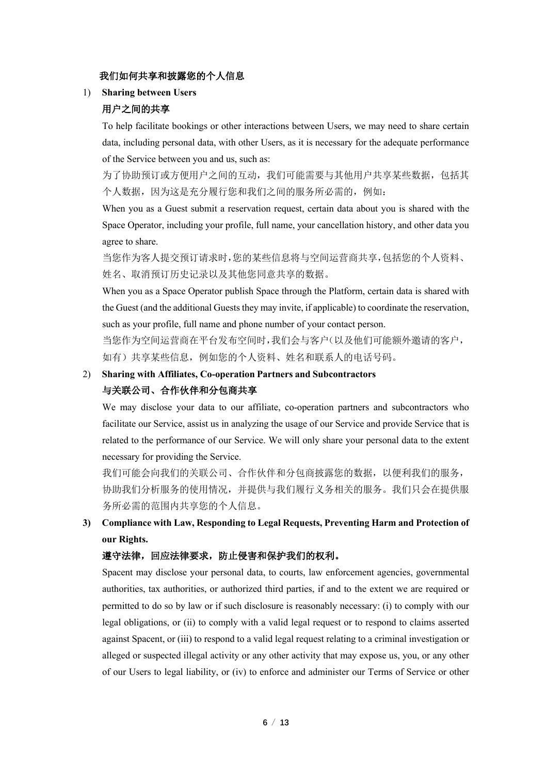## 我们如何共享和披露您的个人信息

1) **Sharing between Users**

# 用户之间的共享

To help facilitate bookings or other interactions between Users, we may need to share certain data, including personal data, with other Users, as it is necessary for the adequate performance of the Service between you and us, such as:

为了协助预订或方便用户之间的互动,我们可能需要与其他用户共享某些数据,包括其 个人数据,因为这是充分履行您和我们之间的服务所必需的,例如:

When you as a Guest submit a reservation request, certain data about you is shared with the Space Operator, including your profile, full name, your cancellation history, and other data you agree to share.

当您作为客人提交预订请求时,您的某些信息将与空间运营商共享,包括您的个人资料、 姓名、取消预订历史记录以及其他您同意共享的数据。

When you as a Space Operator publish Space through the Platform, certain data is shared with the Guest (and the additional Guests they may invite, if applicable) to coordinate the reservation, such as your profile, full name and phone number of your contact person.

当您作为空间运营商在平台发布空间时,我们会与客户(以及他们可能额外邀请的客户, 如有)共享某些信息,例如您的个人资料、姓名和联系人的电话号码。

# 2) **Sharing with Affiliates, Co-operation Partners and Subcontractors** 与关联公司、合作伙伴和分包商共享

We may disclose your data to our affiliate, co-operation partners and subcontractors who facilitate our Service, assist us in analyzing the usage of our Service and provide Service that is related to the performance of our Service. We will only share your personal data to the extent necessary for providing the Service.

我们可能会向我们的关联公司、合作伙伴和分包商披露您的数据,以便利我们的服务, 协助我们分析服务的使用情况,并提供与我们履行义务相关的服务。我们只会在提供服 务所必需的范围内共享您的个人信息。

**3) Compliance with Law, Responding to Legal Requests, Preventing Harm and Protection of our Rights.**

## 遵守法律,回应法律要求,防止侵害和保护我们的权利。

Spacent may disclose your personal data, to courts, law enforcement agencies, governmental authorities, tax authorities, or authorized third parties, if and to the extent we are required or permitted to do so by law or if such disclosure is reasonably necessary: (i) to comply with our legal obligations, or (ii) to comply with a valid legal request or to respond to claims asserted against Spacent, or (iii) to respond to a valid legal request relating to a criminal investigation or alleged or suspected illegal activity or any other activity that may expose us, you, or any other of our Users to legal liability, or (iv) to enforce and administer our Terms of Service or other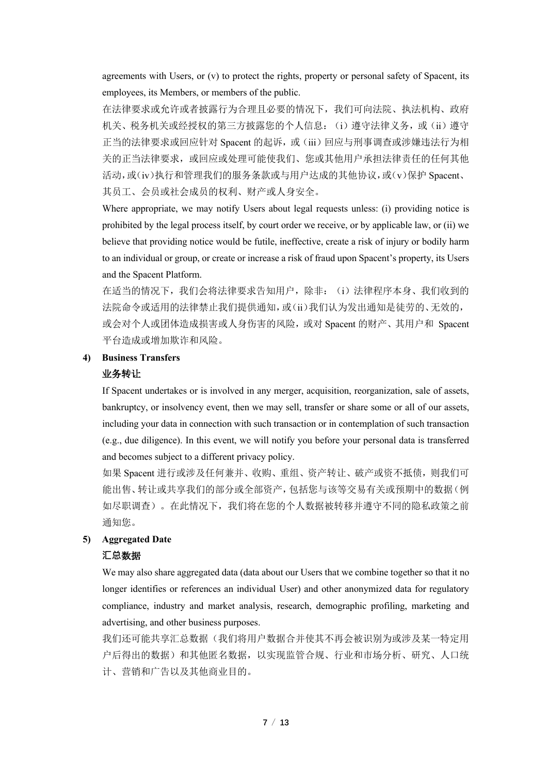agreements with Users, or (v) to protect the rights, property or personal safety of Spacent, its employees, its Members, or members of the public.

在法律要求或允许或者披露行为合理且必要的情况下,我们可向法院、执法机构、政府 机关、税务机关或经授权的第三方披露您的个人信息: (i) 遵守法律义务, 或(ii) 遵守 正当的法律要求或回应针对 Spacent 的起诉,或(iii)回应与刑事调查或涉嫌违法行为相 关的正当法律要求,或回应或处理可能使我们、您或其他用户承担法律责任的任何其他 活动,或(iv)执行和管理我们的服务条款或与用户达成的其他协议,或(v)保护 Spacent、 其员工、会员或社会成员的权利、财产或人身安全。

Where appropriate, we may notify Users about legal requests unless: (i) providing notice is prohibited by the legal process itself, by court order we receive, or by applicable law, or (ii) we believe that providing notice would be futile, ineffective, create a risk of injury or bodily harm to an individual or group, or create or increase a risk of fraud upon Spacent's property, its Users and the Spacent Platform.

在适当的情况下,我们会将法律要求告知用户,除非:(i)法律程序本身、我们收到的 法院命令或适用的法律禁止我们提供通知,或(ii)我们认为发出通知是徒劳的、无效的, 或会对个人或团体造成损害或人身伤害的风险,或对 Spacent 的财产、其用户和 Spacent 平台造成或增加欺诈和风险。

# **4) Business Transfers**

#### 业务转让

If Spacent undertakes or is involved in any merger, acquisition, reorganization, sale of assets, bankruptcy, or insolvency event, then we may sell, transfer or share some or all of our assets, including your data in connection with such transaction or in contemplation of such transaction (e.g., due diligence). In this event, we will notify you before your personal data is transferred and becomes subject to a different privacy policy.

如果 Spacent 进行或涉及任何兼并、收购、重组、资产转让、破产或资不抵债,则我们可 能出售、转让或共享我们的部分或全部资产,包括您与该等交易有关或预期中的数据(例 如尽职调查)。在此情况下,我们将在您的个人数据被转移并遵守不同的隐私政策之前 通知您。

#### **5) Aggregated Date**

#### **汇总**数据

We may also share aggregated data (data about our Users that we combine together so that it no longer identifies or references an individual User) and other anonymized data for regulatory compliance, industry and market analysis, research, demographic profiling, marketing and advertising, and other business purposes.

我们还可能共享汇总数据(我们将用户数据合并使其不再会被识别为或涉及某一特定用 户后得出的数据)和其他匿名数据,以实现监管合规、行业和市场分析、研究、人口统 计、营销和广告以及其他商业目的。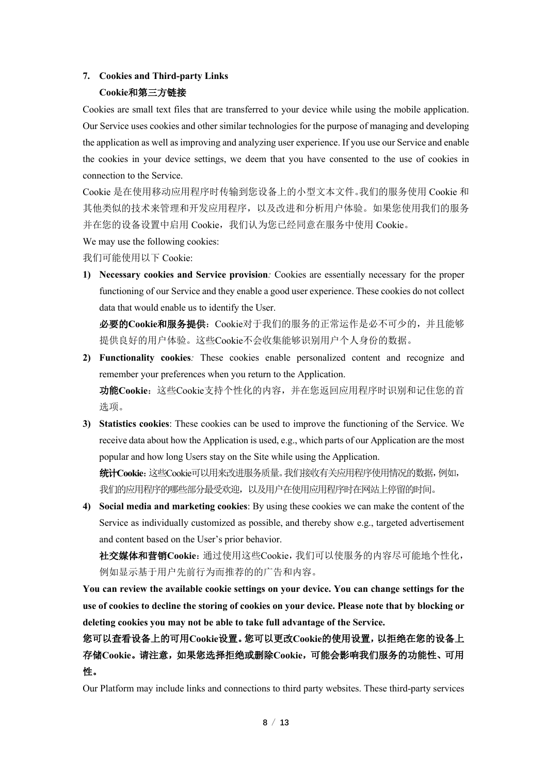# **7. Cookies and Third-party Links**

# **Cookie**和第三方链接

Cookies are small text files that are transferred to your device while using the mobile application. Our Service uses cookies and other similar technologies for the purpose of managing and developing the application as well as improving and analyzing user experience. If you use our Service and enable the cookies in your device settings, we deem that you have consented to the use of cookies in connection to the Service.

Cookie 是在使用移动应用程序时传输到您设备上的小型文本文件。我们的服务使用 Cookie 和 其他类似的技术来管理和开发应用程序,以及改进和分析用户体验。如果您使用我们的服务 并在您的设备设置中启用 Cookie, 我们认为您已经同意在服务中使用 Cookie。

We may use the following cookies:

我们可能使用以下 Cookie:

**1) Necessary cookies and Service provision***:* Cookies are essentially necessary for the proper functioning of our Service and they enable a good user experience. These cookies do not collect data that would enable us to identify the User.

必要的**Cookie**和服务提供:Cookie对于我们的服务的正常运作是必不可少的,并且能够 提供良好的用户体验。这些Cookie不会收集能够识别用户个人身份的数据。

- **2) Functionality cookies***:* These cookies enable personalized content and recognize and remember your preferences when you return to the Application. 功能**Cookie**:这些Cookie支持个性化的内容,并在您返回应用程序时识别和记住您的首 选项。
- **3) Statistics cookies**: These cookies can be used to improve the functioning of the Service. We receive data about how the Application is used, e.g., which parts of our Application are the most popular and how long Users stay on the Site while using the Application.

统计**Cookie**:这些Cookie可以用来改进服务质量。我们接收有关应用程序使用情况的数据,例如, 我们的应用程序的哪些部分最受欢迎,以及用户在使用应用程序时在网站上停留的时间。

**4) Social media and marketing cookies**: By using these cookies we can make the content of the Service as individually customized as possible, and thereby show e.g., targeted advertisement and content based on the User's prior behavior.

社交媒体和营销**Cookie**:通过使用这些Cookie,我们可以使服务的内容尽可能地个性化, 例如显示基于用户先前行为而推荐的的广告和内容。

**You can review the available cookie settings on your device. You can change settings for the use of cookies to decline the storing of cookies on your device. Please note that by blocking or deleting cookies you may not be able to take full advantage of the Service.**

您可以查看设备上的可用**Cookie**设置。您可以更改**Cookie**的使用设置,以拒绝在您的设备上 存储**Cookie**。请注意,如果您选择拒绝或删除**Cookie**,可能会影响我们服务的功能性、可用 性。

Our Platform may include links and connections to third party websites. These third-party services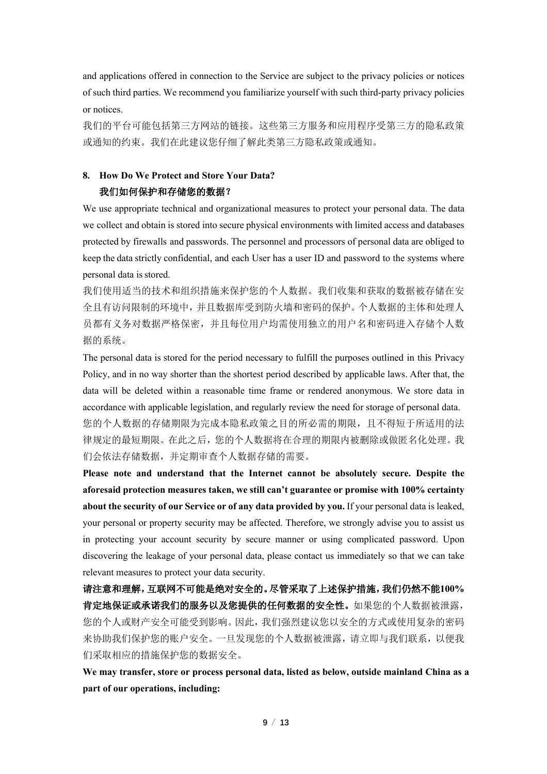and applications offered in connection to the Service are subject to the privacy policies or notices of such third parties. We recommend you familiarize yourself with such third-party privacy policies or notices.

我们的平台可能包括第三方网站的链接。这些第三方服务和应用程序受第三方的隐私政策 或通知的约束。我们在此建议您仔细了解此类第三方隐私政策或通知。

# **8. How Do We Protect and Store Your Data?** 我们如何保护和存储您的数据?

We use appropriate technical and organizational measures to protect your personal data. The data we collect and obtain is stored into secure physical environments with limited access and databases protected by firewalls and passwords. The personnel and processors of personal data are obliged to keep the data strictly confidential, and each User has a user ID and password to the systems where personal data is stored.

我们使用适当的技术和组织措施来保护您的个人数据。我们收集和获取的数据被存储在安 全且有访问限制的环境中,并且数据库受到防火墙和密码的保护。个人数据的主体和处理人 员都有义务对数据严格保密,并且每位用户均需使用独立的用户名和密码进入存储个人数 据的系统。

The personal data is stored for the period necessary to fulfill the purposes outlined in this Privacy Policy, and in no way shorter than the shortest period described by applicable laws. After that, the data will be deleted within a reasonable time frame or rendered anonymous. We store data in accordance with applicable legislation, and regularly review the need for storage of personal data. 您的个人数据的存储期限为完成本隐私政策之目的所必需的期限,且不得短于所适用的法 律规定的最短期限。在此之后,您的个人数据将在合理的期限内被删除或做匿名化处理。我 们会依法存储数据,并定期审查个人数据存储的需要。

**Please note and understand that the Internet cannot be absolutely secure. Despite the aforesaid protection measures taken, we still can't guarantee or promise with 100% certainty about the security of our Service or of any data provided by you.** If your personal data is leaked, your personal or property security may be affected. Therefore, we strongly advise you to assist us in protecting your account security by secure manner or using complicated password. Upon discovering the leakage of your personal data, please contact us immediately so that we can take relevant measures to protect your data security.

请注意和理解,互联网不可能是绝对安全的。尽管采取了上述保护措施,我们仍然不能**100%** 肯定地保证或承诺我们的服务以及您提供的任何数据的安全性。如果您的个人数据被泄露, 您的个人或财产安全可能受到影响。因此,我们强烈建议您以安全的方式或使用复杂的密码 来协助我们保护您的账户安全。一旦发现您的个人数据被泄露,请立即与我们联系,以便我 们采取相应的措施保护您的数据安全。

**We may transfer, store or process personal data, listed as below, outside mainland China as a part of our operations, including:**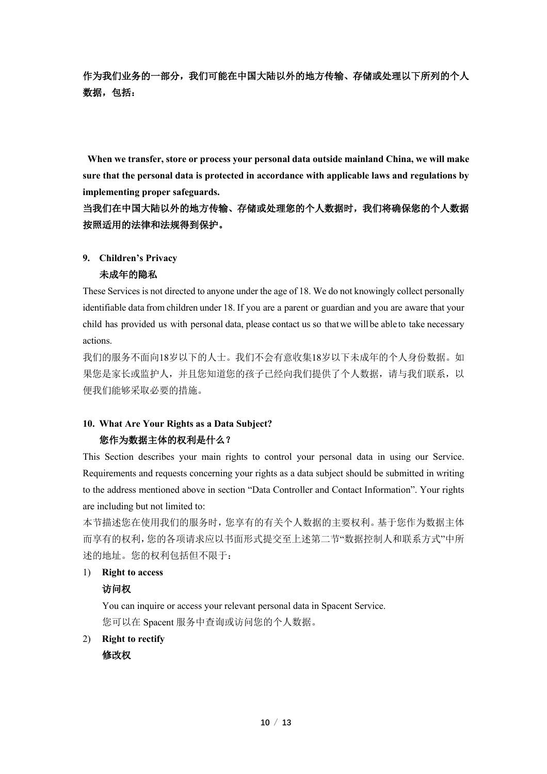作为我们业务的一部分,我们可能在中国大陆以外的地方传输、存储或处理以下所列的个人 数据,包括:

**When we transfer, store or process your personal data outside mainland China, we will make sure that the personal data is protected in accordance with applicable laws and regulations by implementing proper safeguards.**

# 当我们在中国大陆以外的地方传输、存储或处理您的个人数据时,我们将确保您的个人数据 按照适用的法律和法规得到保护。

## **9. Children's Privacy**

# 未成年的隐私

These Services is not directed to anyone under the age of 18. We do not knowingly collect personally identifiable data from children under 18. If you are a parent or guardian and you are aware that your child has provided us with personal data, please contact us so thatwe will be able to take necessary actions.

我们的服务不面向18岁以下的人士。我们不会有意收集18岁以下未成年的个人身份数据。如 果您是家长或监护人,并且您知道您的孩子已经向我们提供了个人数据,请与我们联系,以 便我们能够采取必要的措施。

# **10. What Are Your Rights as a Data Subject?** 您作为数据主体的权利是什么?

This Section describes your main rights to control your personal data in using our Service. Requirements and requests concerning your rights as a data subject should be submitted in writing to the address mentioned above in section "Data Controller and Contact Information". Your rights are including but not limited to:

本节描述您在使用我们的服务时,您享有的有关个人数据的主要权利。基于您作为数据主体 而享有的权利,您的各项请求应以书面形式提交至上述第二节"数据控制人和联系方式"中所 述的地址。您的权利包括但不限于:

## 1) **Right to access**

# 访问权

You can inquire or access your relevant personal data in Spacent Service. 您可以在 Spacent 服务中查询或访问您的个人数据。

2) **Right to rectify**

修改权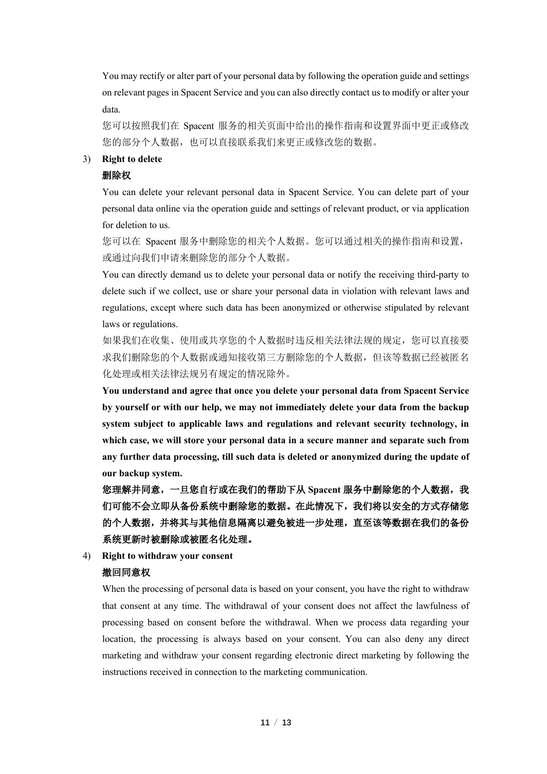You may rectify or alter part of your personal data by following the operation guide and settings on relevant pages in Spacent Service and you can also directly contact us to modify or alter your data.

您可以按照我们在 Spacent 服务的相关页面中给出的操作指南和设置界面中更正或修改 您的部分个人数据,也可以直接联系我们来更正或修改您的数据。

#### 3) **Right to delete**

## 删除权

You can delete your relevant personal data in Spacent Service. You can delete part of your personal data online via the operation guide and settings of relevant product, or via application for deletion to us.

您可以在 Spacent 服务中删除您的相关个人数据。您可以通过相关的操作指南和设置, 或通过向我们申请来删除您的部分个人数据。

You can directly demand us to delete your personal data or notify the receiving third-party to delete such if we collect, use or share your personal data in violation with relevant laws and regulations, except where such data has been anonymized or otherwise stipulated by relevant laws or regulations.

如果我们在收集、使用或共享您的个人数据时违反相关法律法规的规定, 您可以直接要 求我们删除您的个人数据或通知接收第三方删除您的个人数据,但该等数据已经被匿名 化处理或相关法律法规另有规定的情况除外。

**You understand and agree that once you delete your personal data from Spacent Service by yourself or with our help, we may not immediately delete your data from the backup system subject to applicable laws and regulations and relevant security technology, in which case, we will store your personal data in a secure manner and separate such from any further data processing, till such data is deleted or anonymized during the update of our backup system.**

您理解并同意,一旦您自行或在我们的帮助下从 **Spacent** 服务中删除您的个人数据,我 们可能不会立即从备份系统中删除您的数据。在此情况下,我们将以安全的方式存储您 的个人数据,并将其与其他信息隔离以避免被进一步处理,直至该等数据在我们的备份 系统更新时被删除或被匿名化处理。

#### 4) **Right to withdraw your consent**

## 撤回同意权

When the processing of personal data is based on your consent, you have the right to withdraw that consent at any time. The withdrawal of your consent does not affect the lawfulness of processing based on consent before the withdrawal. When we process data regarding your location, the processing is always based on your consent. You can also deny any direct marketing and withdraw your consent regarding electronic direct marketing by following the instructions received in connection to the marketing communication.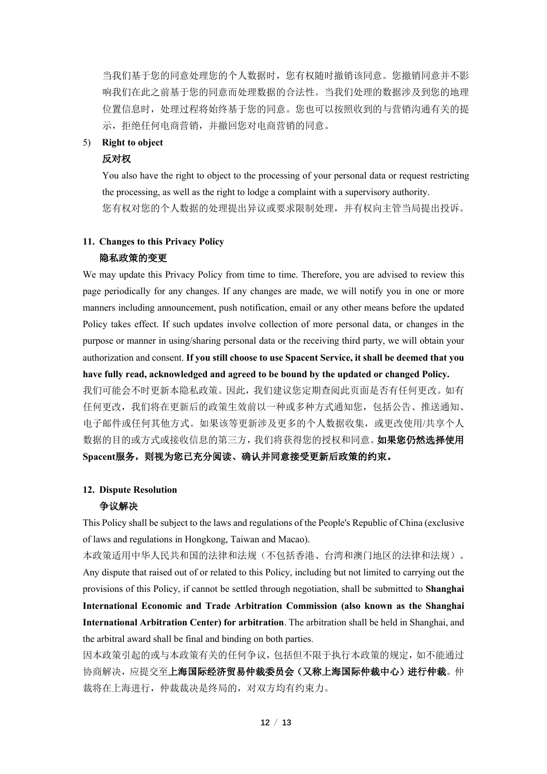当我们基于您的同意处理您的个人数据时,您有权随时撤销该同意。您撤销同意并不影 响我们在此之前基于您的同意而处理数据的合法性。当我们处理的数据涉及到您的地理 位置信息时,处理过程将始终基于您的同意。您也可以按照收到的与营销沟通有关的提 示,拒绝任何电商营销,并撤回您对电商营销的同意。

#### 5) **Right to object**

#### 反对权

You also have the right to object to the processing of your personal data or request restricting the processing, as well as the right to lodge a complaint with a supervisory authority. 您有权对您的个人数据的处理提出异议或要求限制处理,并有权向主管当局提出投诉。

# **11. Changes to this Privacy Policy** 隐私政策的变更

We may update this Privacy Policy from time to time. Therefore, you are advised to review this page periodically for any changes. If any changes are made, we will notify you in one or more manners including announcement, push notification, email or any other means before the updated Policy takes effect. If such updates involve collection of more personal data, or changes in the purpose or manner in using/sharing personal data or the receiving third party, we will obtain your authorization and consent. **If you still choose to use Spacent Service, it shall be deemed that you have fully read, acknowledged and agreed to be bound by the updated or changed Policy.**  我们可能会不时更新本隐私政策。因此,我们建议您定期查阅此页面是否有任何更改。如有

任何更改,我们将在更新后的政策生效前以一种或多种方式通知您,包括公告、推送通知、 电子邮件或任何其他方式。如果该等更新涉及更多的个人数据收集,或更改使用/共享个人 数据的目的或方式或接收信息的第三方,我们将获得您的授权和同意。如果您仍然选择使用 Spacent服务, 则视为您已充分阅读、确认并同意接受更新后政策的约束。

#### **12. Dispute Resolution**

#### 争议解决

This Policy shall be subject to the laws and regulations of the People's Republic of China (exclusive of laws and regulations in Hongkong, Taiwan and Macao).

本政策适用中华人民共和国的法律和法规(不包括香港、台湾和澳门地区的法律和法规)。 Any dispute that raised out of or related to this Policy, including but not limited to carrying out the provisions of this Policy, if cannot be settled through negotiation, shall be submitted to **Shanghai International Economic and Trade Arbitration Commission (also known as the Shanghai International Arbitration Center) for arbitration**. The arbitration shall be held in Shanghai, and the arbitral award shall be final and binding on both parties.

因本政策引起的或与本政策有关的任何争议,包括但不限于执行本政策的规定,如不能通过 协商解决,应提交至上海国际经济贸易仲裁委员会(又称上海国际仲裁中心)进行仲裁。仲 裁将在上海进行,仲裁裁决是终局的,对双方均有约束力。